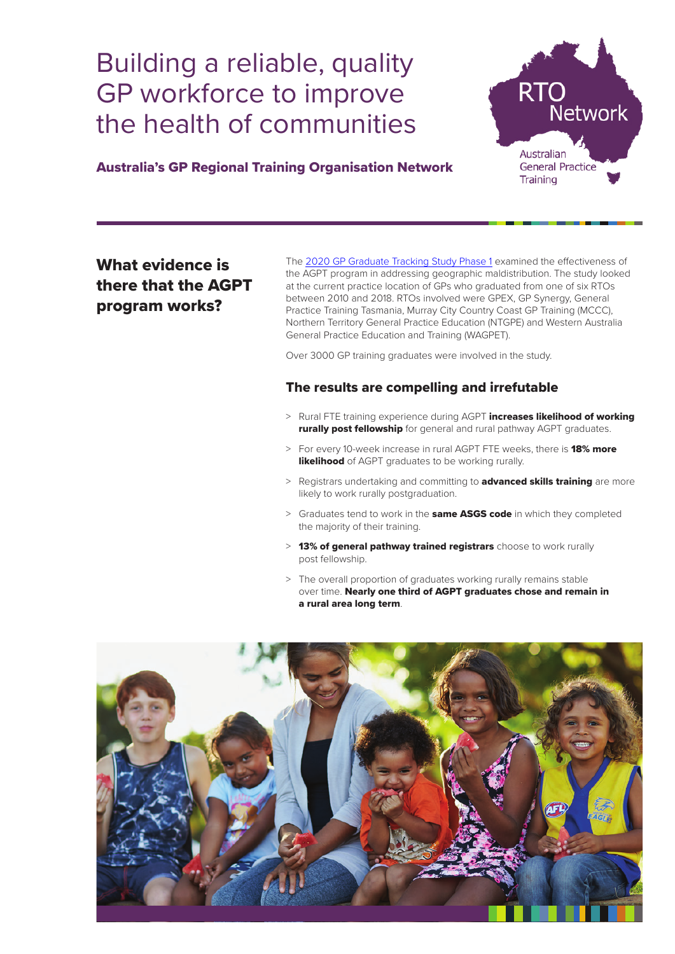## Building a reliable, quality GP workforce to improve the health of communities



## Australia's GP Regional Training Organisation Network

## What evidence is there that the AGPT program works?

The 2020 GP Graduate Tracking Study Phase 1 examined the effectiveness of the AGPT program in addressing geographic maldistribution. The study looked at the current practice location of GPs who graduated from one of six RTOs between 2010 and 2018. RTOs involved were GPEX, GP Synergy, General Practice Training Tasmania, Murray City Country Coast GP Training (MCCC), Northern Territory General Practice Education (NTGPE) and Western Australia General Practice Education and Training (WAGPET).

Over 3000 GP training graduates were involved in the study.

## The results are compelling and irrefutable

- > Rural FTE training experience during AGPT **increases likelihood of working rurally post fellowship** for general and rural pathway AGPT graduates.
- > For every 10-week increase in rural AGPT FTE weeks, there is 18% more **likelihood** of AGPT graduates to be working rurally.
- > Registrars undertaking and committing to **advanced skills training** are more likely to work rurally postgraduation.
- > Graduates tend to work in the **same ASGS code** in which they completed the majority of their training.
- > 13% of general pathway trained registrars choose to work rurally post fellowship.
- > The overall proportion of graduates working rurally remains stable over time. Nearly one third of AGPT graduates chose and remain in a rural area long term.